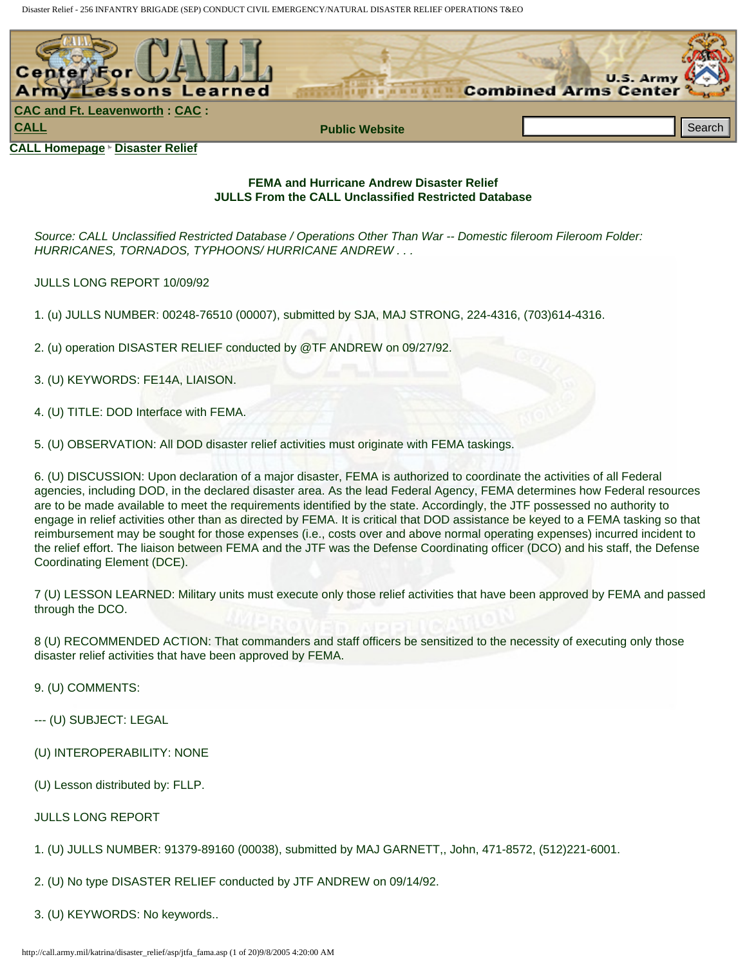

### **FEMA and Hurricane Andrew Disaster Relief JULLS From the CALL Unclassified Restricted Database**

*Source: CALL Unclassified Restricted Database / Operations Other Than War -- Domestic fileroom Fileroom Folder: HURRICANES, TORNADOS, TYPHOONS/ HURRICANE ANDREW . . .*

JULLS LONG REPORT 10/09/92

1. (u) JULLS NUMBER: 00248-76510 (00007), submitted by SJA, MAJ STRONG, 224-4316, (703)614-4316.

2. (u) operation DISASTER RELIEF conducted by @TF ANDREW on 09/27/92.

3. (U) KEYWORDS: FE14A, LIAISON.

4. (U) TITLE: DOD Interface with FEMA.

5. (U) OBSERVATION: All DOD disaster relief activities must originate with FEMA taskings.

6. (U) DISCUSSION: Upon declaration of a major disaster, FEMA is authorized to coordinate the activities of all Federal agencies, including DOD, in the declared disaster area. As the lead Federal Agency, FEMA determines how Federal resources are to be made available to meet the requirements identified by the state. Accordingly, the JTF possessed no authority to engage in relief activities other than as directed by FEMA. It is critical that DOD assistance be keyed to a FEMA tasking so that reimbursement may be sought for those expenses (i.e., costs over and above normal operating expenses) incurred incident to the relief effort. The liaison between FEMA and the JTF was the Defense Coordinating officer (DCO) and his staff, the Defense Coordinating Element (DCE). ALL Iomnessa - Bilassia: Reilar<br>
III. British and Elisa - Fight) and Harrison Antenna Disaster (Particles Asp 1944)<br>
Somethon The CALL Uncidented Conclusion Concerns Discover Theories The War - Domestic Relief<br>
Anti-Call U

7 (U) LESSON LEARNED: Military units must execute only those relief activities that have been approved by FEMA and passed through the DCO.

8 (U) RECOMMENDED ACTION: That commanders and staff officers be sensitized to the necessity of executing only those disaster relief activities that have been approved by FEMA.

9. (U) COMMENTS:

--- (U) SUBJECT: LEGAL

- (U) INTEROPERABILITY: NONE
- (U) Lesson distributed by: FLLP.

JULLS LONG REPORT

1. (U) JULLS NUMBER: 91379-89160 (00038), submitted by MAJ GARNETT,, John, 471-8572, (512)221-6001.

2. (U) No type DISASTER RELIEF conducted by JTF ANDREW on 09/14/92.

3. (U) KEYWORDS: No keywords..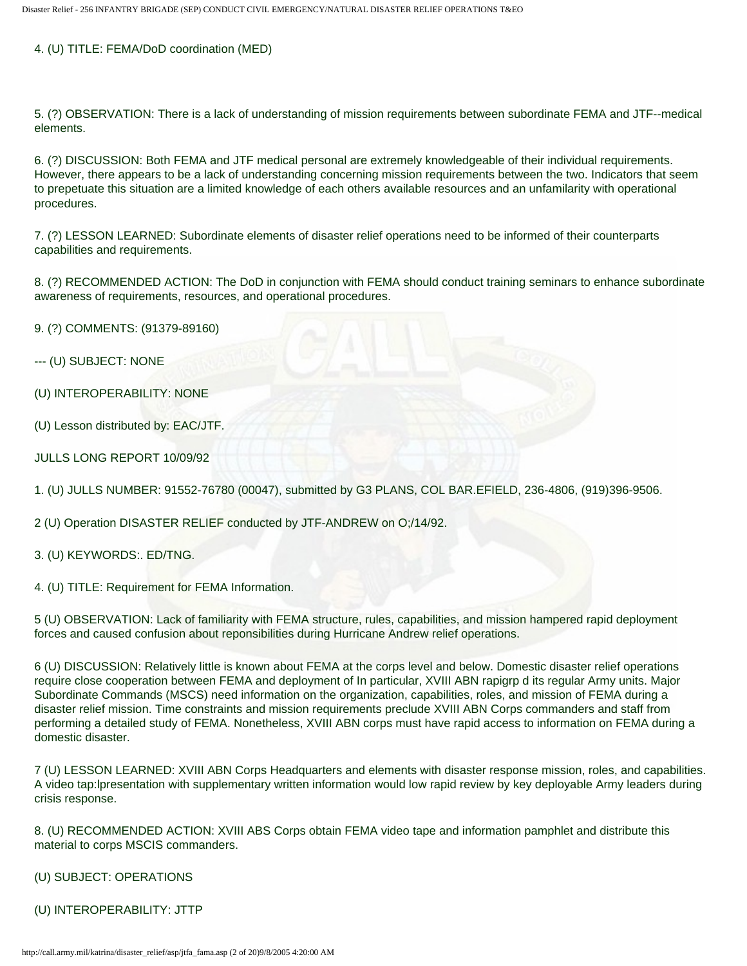### 4. (U) TITLE: FEMA/DoD coordination (MED)

5. (?) OBSERVATION: There is a lack of understanding of mission requirements between subordinate FEMA and JTF--medical elements.

6. (?) DISCUSSION: Both FEMA and JTF medical personal are extremely knowledgeable of their individual requirements. However, there appears to be a lack of understanding concerning mission requirements between the two. Indicators that seem to prepetuate this situation are a limited knowledge of each others available resources and an unfamilarity with operational procedures.

7. (?) LESSON LEARNED: Subordinate elements of disaster relief operations need to be informed of their counterparts capabilities and requirements.

8. (?) RECOMMENDED ACTION: The DoD in conjunction with FEMA should conduct training seminars to enhance subordinate awareness of requirements, resources, and operational procedures.

9. (?) COMMENTS: (91379-89160)

- --- (U) SUBJECT: NONE
- (U) INTEROPERABILITY: NONE
- (U) Lesson distributed by: EAC/JTF.
- JULLS LONG REPORT 10/09/92

1. (U) JULLS NUMBER: 91552-76780 (00047), submitted by G3 PLANS, COL BAR.EFIELD, 236-4806, (919)396-9506.

2 (U) Operation DISASTER RELIEF conducted by JTF-ANDREW on O;/14/92.

3. (U) KEYWORDS:. ED/TNG.

4. (U) TITLE: Requirement for FEMA Information.

5 (U) OBSERVATION: Lack of familiarity with FEMA structure, rules, capabilities, and mission hampered rapid deployment forces and caused confusion about reponsibilities during Hurricane Andrew relief operations.

6 (U) DISCUSSION: Relatively little is known about FEMA at the corps level and below. Domestic disaster relief operations require close cooperation between FEMA and deployment of In particular, XVIII ABN rapigrp d its regular Army units. Major Subordinate Commands (MSCS) need information on the organization, capabilities, roles, and mission of FEMA during a disaster relief mission. Time constraints and mission requirements preclude XVIII ABN Corps commanders and staff from performing a detailed study of FEMA. Nonetheless, XVIII ABN corps must have rapid access to information on FEMA during a domestic disaster.

7 (U) LESSON LEARNED: XVIII ABN Corps Headquarters and elements with disaster response mission, roles, and capabilities. A video tap:lpresentation with supplementary written information would low rapid review by key deployable Army leaders during crisis response.

8. (U) RECOMMENDED ACTION: XVIII ABS Corps obtain FEMA video tape and information pamphlet and distribute this material to corps MSCIS commanders.

- (U) SUBJECT: OPERATIONS
- (U) INTEROPERABILITY: JTTP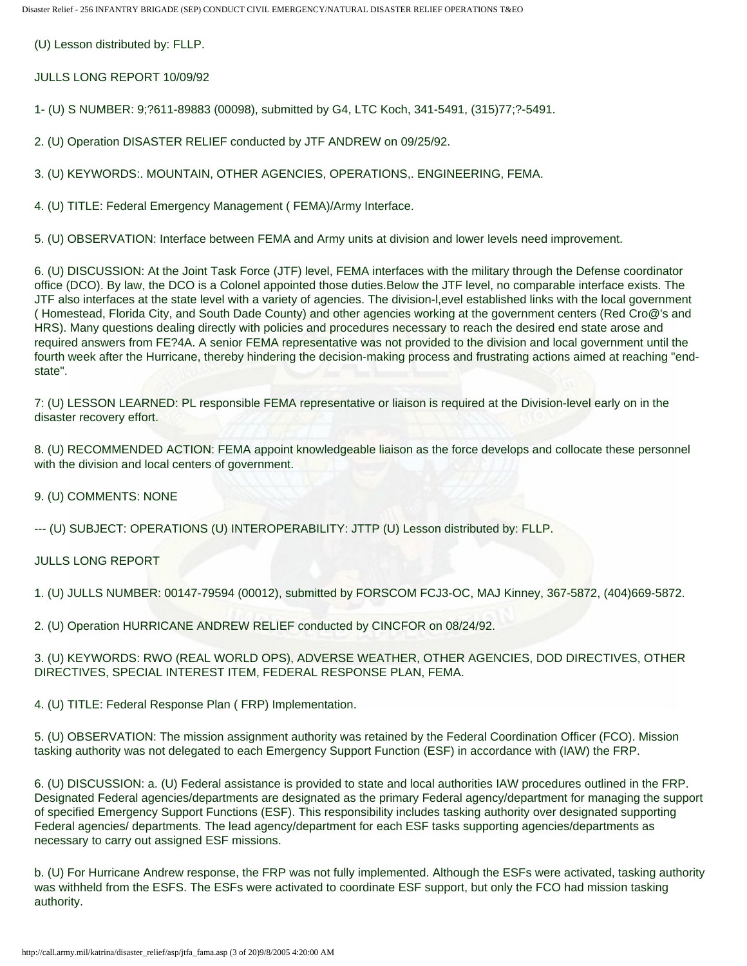(U) Lesson distributed by: FLLP.

JULLS LONG REPORT 10/09/92

1- (U) S NUMBER: 9;?611-89883 (00098), submitted by G4, LTC Koch, 341-5491, (315)77;?-5491.

2. (U) Operation DISASTER RELIEF conducted by JTF ANDREW on 09/25/92.

3. (U) KEYWORDS:. MOUNTAIN, OTHER AGENCIES, OPERATIONS,. ENGINEERING, FEMA.

4. (U) TITLE: Federal Emergency Management ( FEMA)/Army Interface.

5. (U) OBSERVATION: Interface between FEMA and Army units at division and lower levels need improvement.

6. (U) DISCUSSION: At the Joint Task Force (JTF) level, FEMA interfaces with the military through the Defense coordinator office (DCO). By law, the DCO is a Colonel appointed those duties.Below the JTF level, no comparable interface exists. The JTF also interfaces at the state level with a variety of agencies. The division-l,evel established links with the local government ( Homestead, Florida City, and South Dade County) and other agencies working at the government centers (Red Cro@'s and HRS). Many questions dealing directly with policies and procedures necessary to reach the desired end state arose and required answers from FE?4A. A senior FEMA representative was not provided to the division and local government until the fourth week after the Hurricane, thereby hindering the decision-making process and frustrating actions aimed at reaching "endstate".

7: (U) LESSON LEARNED: PL responsible FEMA representative or liaison is required at the Division-level early on in the disaster recovery effort.

8. (U) RECOMMENDED ACTION: FEMA appoint knowledgeable liaison as the force develops and collocate these personnel with the division and local centers of government.

9. (U) COMMENTS: NONE

--- (U) SUBJECT: OPERATIONS (U) INTEROPERABILITY: JTTP (U) Lesson distributed by: FLLP.

JULLS LONG REPORT

1. (U) JULLS NUMBER: 00147-79594 (00012), submitted by FORSCOM FCJ3-OC, MAJ Kinney, 367-5872, (404)669-5872.

2. (U) Operation HURRICANE ANDREW RELIEF conducted by CINCFOR on 08/24/92.

3. (U) KEYWORDS: RWO (REAL WORLD OPS), ADVERSE WEATHER, OTHER AGENCIES, DOD DIRECTIVES, OTHER DIRECTIVES, SPECIAL INTEREST ITEM, FEDERAL RESPONSE PLAN, FEMA.

4. (U) TITLE: Federal Response Plan ( FRP) Implementation.

5. (U) OBSERVATION: The mission assignment authority was retained by the Federal Coordination Officer (FCO). Mission tasking authority was not delegated to each Emergency Support Function (ESF) in accordance with (IAW) the FRP.

6. (U) DISCUSSION: a. (U) Federal assistance is provided to state and local authorities IAW procedures outlined in the FRP. Designated Federal agencies/departments are designated as the primary Federal agency/department for managing the support of specified Emergency Support Functions (ESF). This responsibility includes tasking authority over designated supporting Federal agencies/ departments. The lead agency/department for each ESF tasks supporting agencies/departments as necessary to carry out assigned ESF missions.

b. (U) For Hurricane Andrew response, the FRP was not fully implemented. Although the ESFs were activated, tasking authority was withheld from the ESFS. The ESFs were activated to coordinate ESF support, but only the FCO had mission tasking authority.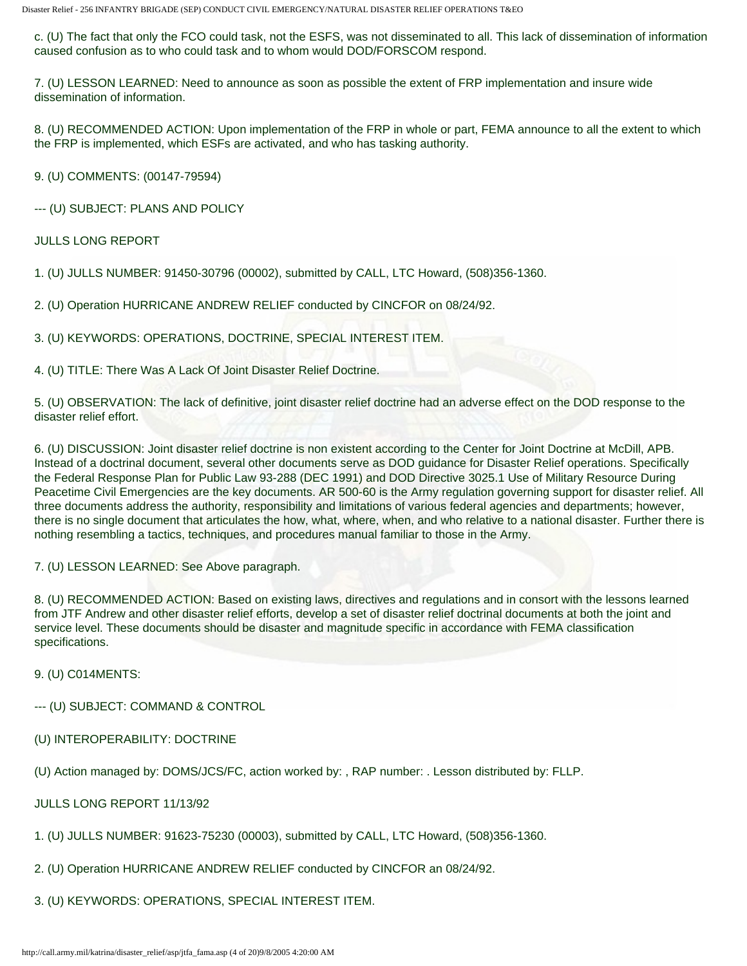c. (U) The fact that only the FCO could task, not the ESFS, was not disseminated to all. This lack of dissemination of information caused confusion as to who could task and to whom would DOD/FORSCOM respond.

7. (U) LESSON LEARNED: Need to announce as soon as possible the extent of FRP implementation and insure wide dissemination of information.

8. (U) RECOMMENDED ACTION: Upon implementation of the FRP in whole or part, FEMA announce to all the extent to which the FRP is implemented, which ESFs are activated, and who has tasking authority.

9. (U) COMMENTS: (00147-79594)

--- (U) SUBJECT: PLANS AND POLICY

JULLS LONG REPORT

1. (U) JULLS NUMBER: 91450-30796 (00002), submitted by CALL, LTC Howard, (508)356-1360.

2. (U) Operation HURRICANE ANDREW RELIEF conducted by CINCFOR on 08/24/92.

3. (U) KEYWORDS: OPERATIONS, DOCTRINE, SPECIAL INTEREST ITEM.

4. (U) TITLE: There Was A Lack Of Joint Disaster Relief Doctrine.

5. (U) OBSERVATION: The lack of definitive, joint disaster relief doctrine had an adverse effect on the DOD response to the disaster relief effort.

6. (U) DISCUSSION: Joint disaster relief doctrine is non existent according to the Center for Joint Doctrine at McDill, APB. Instead of a doctrinal document, several other documents serve as DOD guidance for Disaster Relief operations. Specifically the Federal Response Plan for Public Law 93-288 (DEC 1991) and DOD Directive 3025.1 Use of Military Resource During Peacetime Civil Emergencies are the key documents. AR 500-60 is the Army regulation governing support for disaster relief. All three documents address the authority, responsibility and limitations of various federal agencies and departments; however, there is no single document that articulates the how, what, where, when, and who relative to a national disaster. Further there is nothing resembling a tactics, techniques, and procedures manual familiar to those in the Army.

7. (U) LESSON LEARNED: See Above paragraph.

8. (U) RECOMMENDED ACTION: Based on existing laws, directives and regulations and in consort with the lessons learned from JTF Andrew and other disaster relief efforts, develop a set of disaster relief doctrinal documents at both the joint and service level. These documents should be disaster and magnitude specific in accordance with FEMA classification specifications.

#### 9. (U) C014MENTS:

- --- (U) SUBJECT: COMMAND & CONTROL
- (U) INTEROPERABILITY: DOCTRINE

(U) Action managed by: DOMS/JCS/FC, action worked by: , RAP number: . Lesson distributed by: FLLP.

JULLS LONG REPORT 11/13/92

- 1. (U) JULLS NUMBER: 91623-75230 (00003), submitted by CALL, LTC Howard, (508)356-1360.
- 2. (U) Operation HURRICANE ANDREW RELIEF conducted by CINCFOR an 08/24/92.
- 3. (U) KEYWORDS: OPERATIONS, SPECIAL INTEREST ITEM.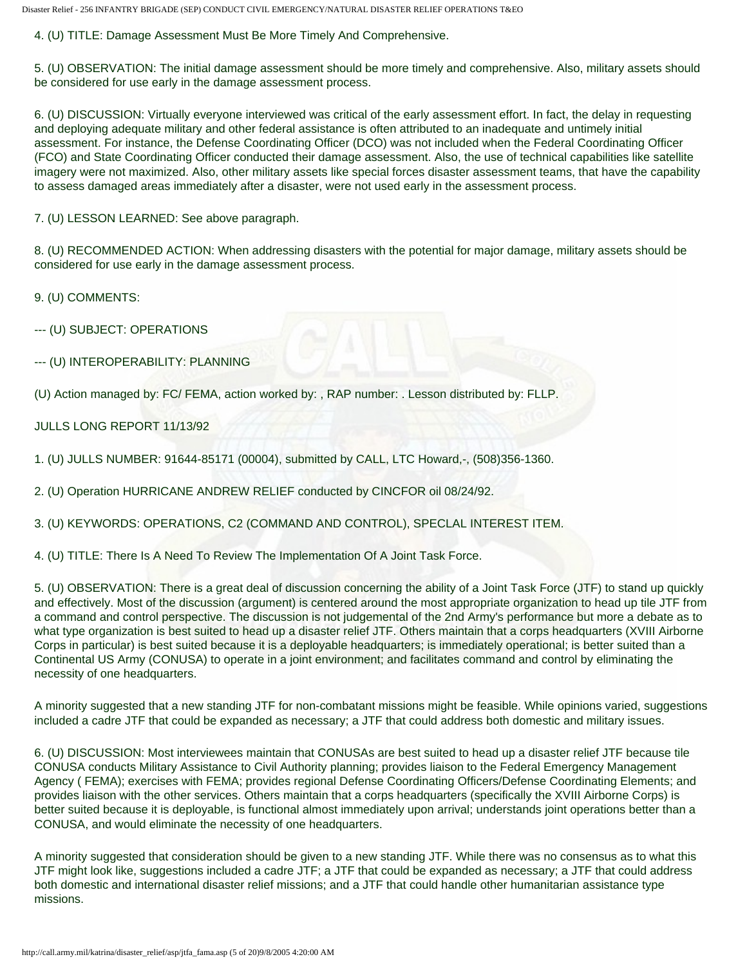4. (U) TITLE: Damage Assessment Must Be More Timely And Comprehensive.

5. (U) OBSERVATION: The initial damage assessment should be more timely and comprehensive. Also, military assets should be considered for use early in the damage assessment process.

6. (U) DISCUSSION: Virtually everyone interviewed was critical of the early assessment effort. In fact, the delay in requesting and deploying adequate military and other federal assistance is often attributed to an inadequate and untimely initial assessment. For instance, the Defense Coordinating Officer (DCO) was not included when the Federal Coordinating Officer (FCO) and State Coordinating Officer conducted their damage assessment. Also, the use of technical capabilities like satellite imagery were not maximized. Also, other military assets like special forces disaster assessment teams, that have the capability to assess damaged areas immediately after a disaster, were not used early in the assessment process.

7. (U) LESSON LEARNED: See above paragraph.

8. (U) RECOMMENDED ACTION: When addressing disasters with the potential for major damage, military assets should be considered for use early in the damage assessment process.

9. (U) COMMENTS:

--- (U) SUBJECT: OPERATIONS

--- (U) INTEROPERABILITY: PLANNING

(U) Action managed by: FC/ FEMA, action worked by: , RAP number: . Lesson distributed by: FLLP.

JULLS LONG REPORT 11/13/92

1. (U) JULLS NUMBER: 91644-85171 (00004), submitted by CALL, LTC Howard,-, (508)356-1360.

2. (U) Operation HURRICANE ANDREW RELIEF conducted by CINCFOR oil 08/24/92.

3. (U) KEYWORDS: OPERATIONS, C2 (COMMAND AND CONTROL), SPECLAL INTEREST ITEM.

4. (U) TITLE: There Is A Need To Review The Implementation Of A Joint Task Force.

5. (U) OBSERVATION: There is a great deal of discussion concerning the ability of a Joint Task Force (JTF) to stand up quickly and effectively. Most of the discussion (argument) is centered around the most appropriate organization to head up tile JTF from a command and control perspective. The discussion is not judgemental of the 2nd Army's performance but more a debate as to what type organization is best suited to head up a disaster relief JTF. Others maintain that a corps headquarters (XVIII Airborne Corps in particular) is best suited because it is a deployable headquarters; is immediately operational; is better suited than a Continental US Army (CONUSA) to operate in a joint environment; and facilitates command and control by eliminating the necessity of one headquarters.

A minority suggested that a new standing JTF for non-combatant missions might be feasible. While opinions varied, suggestions included a cadre JTF that could be expanded as necessary; a JTF that could address both domestic and military issues.

6. (U) DISCUSSION: Most interviewees maintain that CONUSAs are best suited to head up a disaster relief JTF because tile CONUSA conducts Military Assistance to Civil Authority planning; provides liaison to the Federal Emergency Management Agency ( FEMA); exercises with FEMA; provides regional Defense Coordinating Officers/Defense Coordinating Elements; and provides liaison with the other services. Others maintain that a corps headquarters (specifically the XVIII Airborne Corps) is better suited because it is deployable, is functional almost immediately upon arrival; understands joint operations better than a CONUSA, and would eliminate the necessity of one headquarters.

A minority suggested that consideration should be given to a new standing JTF. While there was no consensus as to what this JTF might look like, suggestions included a cadre JTF; a JTF that could be expanded as necessary; a JTF that could address both domestic and international disaster relief missions; and a JTF that could handle other humanitarian assistance type missions.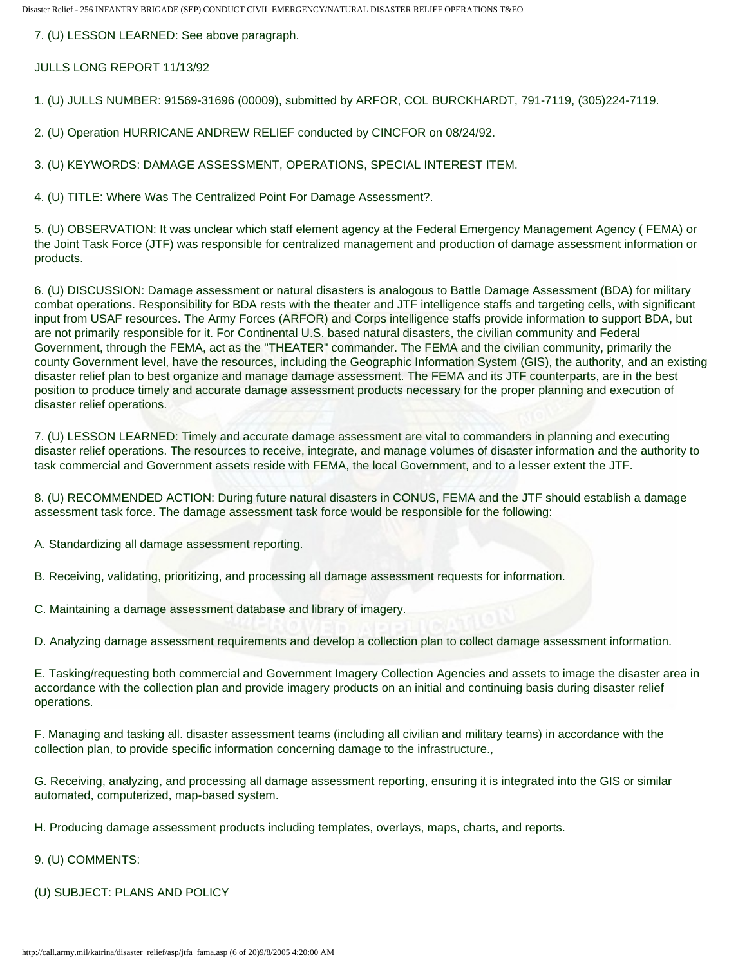7. (U) LESSON LEARNED: See above paragraph.

JULLS LONG REPORT 11/13/92

1. (U) JULLS NUMBER: 91569-31696 (00009), submitted by ARFOR, COL BURCKHARDT, 791-7119, (305)224-7119.

2. (U) Operation HURRICANE ANDREW RELIEF conducted by CINCFOR on 08/24/92.

3. (U) KEYWORDS: DAMAGE ASSESSMENT, OPERATIONS, SPECIAL INTEREST ITEM.

4. (U) TITLE: Where Was The Centralized Point For Damage Assessment?.

5. (U) OBSERVATION: It was unclear which staff element agency at the Federal Emergency Management Agency ( FEMA) or the Joint Task Force (JTF) was responsible for centralized management and production of damage assessment information or products.

6. (U) DISCUSSION: Damage assessment or natural disasters is analogous to Battle Damage Assessment (BDA) for military combat operations. Responsibility for BDA rests with the theater and JTF intelligence staffs and targeting cells, with significant input from USAF resources. The Army Forces (ARFOR) and Corps intelligence staffs provide information to support BDA, but are not primarily responsible for it. For Continental U.S. based natural disasters, the civilian community and Federal Government, through the FEMA, act as the "THEATER" commander. The FEMA and the civilian community, primarily the county Government level, have the resources, including the Geographic Information System (GIS), the authority, and an existing disaster relief plan to best organize and manage damage assessment. The FEMA and its JTF counterparts, are in the best position to produce timely and accurate damage assessment products necessary for the proper planning and execution of disaster relief operations.

7. (U) LESSON LEARNED: Timely and accurate damage assessment are vital to commanders in planning and executing disaster relief operations. The resources to receive, integrate, and manage volumes of disaster information and the authority to task commercial and Government assets reside with FEMA, the local Government, and to a lesser extent the JTF.

8. (U) RECOMMENDED ACTION: During future natural disasters in CONUS, FEMA and the JTF should establish a damage assessment task force. The damage assessment task force would be responsible for the following:

A. Standardizing all damage assessment reporting.

B. Receiving, validating, prioritizing, and processing all damage assessment requests for information.

C. Maintaining a damage assessment database and library of imagery.

D. Analyzing damage assessment requirements and develop a collection plan to collect damage assessment information.

E. Tasking/requesting both commercial and Government Imagery Collection Agencies and assets to image the disaster area in accordance with the collection plan and provide imagery products on an initial and continuing basis during disaster relief operations.

F. Managing and tasking all. disaster assessment teams (including all civilian and military teams) in accordance with the collection plan, to provide specific information concerning damage to the infrastructure.,

G. Receiving, analyzing, and processing all damage assessment reporting, ensuring it is integrated into the GIS or similar automated, computerized, map-based system.

H. Producing damage assessment products including templates, overlays, maps, charts, and reports.

#### 9. (U) COMMENTS:

(U) SUBJECT: PLANS AND POLICY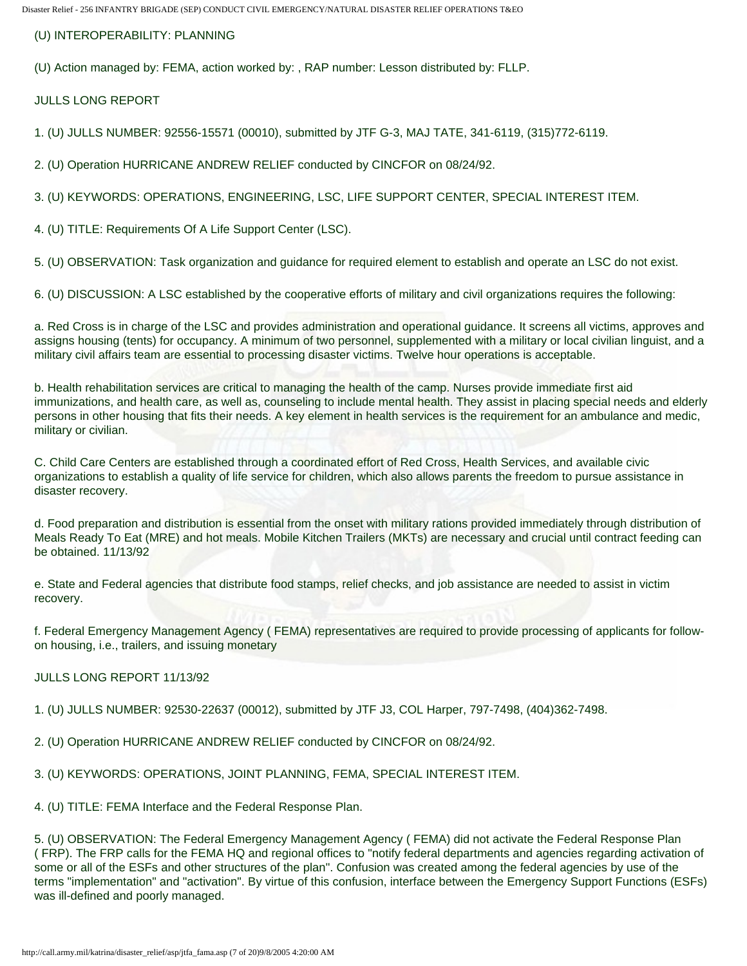(U) INTEROPERABILITY: PLANNING

(U) Action managed by: FEMA, action worked by: , RAP number: Lesson distributed by: FLLP.

JULLS LONG REPORT

1. (U) JULLS NUMBER: 92556-15571 (00010), submitted by JTF G-3, MAJ TATE, 341-6119, (315)772-6119.

2. (U) Operation HURRICANE ANDREW RELIEF conducted by CINCFOR on 08/24/92.

3. (U) KEYWORDS: OPERATIONS, ENGINEERING, LSC, LIFE SUPPORT CENTER, SPECIAL INTEREST ITEM.

4. (U) TITLE: Requirements Of A Life Support Center (LSC).

5. (U) OBSERVATION: Task organization and guidance for required element to establish and operate an LSC do not exist.

6. (U) DISCUSSION: A LSC established by the cooperative efforts of military and civil organizations requires the following:

a. Red Cross is in charge of the LSC and provides administration and operational guidance. It screens all victims, approves and assigns housing (tents) for occupancy. A minimum of two personnel, supplemented with a military or local civilian linguist, and a military civil affairs team are essential to processing disaster victims. Twelve hour operations is acceptable.

b. Health rehabilitation services are critical to managing the health of the camp. Nurses provide immediate first aid immunizations, and health care, as well as, counseling to include mental health. They assist in placing special needs and elderly persons in other housing that fits their needs. A key element in health services is the requirement for an ambulance and medic, military or civilian.

C. Child Care Centers are established through a coordinated effort of Red Cross, Health Services, and available civic organizations to establish a quality of life service for children, which also allows parents the freedom to pursue assistance in disaster recovery.

d. Food preparation and distribution is essential from the onset with military rations provided immediately through distribution of Meals Ready To Eat (MRE) and hot meals. Mobile Kitchen Trailers (MKTs) are necessary and crucial until contract feeding can be obtained. 11/13/92

e. State and Federal agencies that distribute food stamps, relief checks, and job assistance are needed to assist in victim recovery.

f. Federal Emergency Management Agency ( FEMA) representatives are required to provide processing of applicants for followon housing, i.e., trailers, and issuing monetary

# JULLS LONG REPORT 11/13/92

1. (U) JULLS NUMBER: 92530-22637 (00012), submitted by JTF J3, COL Harper, 797-7498, (404)362-7498.

2. (U) Operation HURRICANE ANDREW RELIEF conducted by CINCFOR on 08/24/92.

3. (U) KEYWORDS: OPERATIONS, JOINT PLANNING, FEMA, SPECIAL INTEREST ITEM.

4. (U) TITLE: FEMA Interface and the Federal Response Plan.

5. (U) OBSERVATION: The Federal Emergency Management Agency ( FEMA) did not activate the Federal Response Plan ( FRP). The FRP calls for the FEMA HQ and regional offices to "notify federal departments and agencies regarding activation of some or all of the ESFs and other structures of the plan". Confusion was created among the federal agencies by use of the terms "implementation" and "activation". By virtue of this confusion, interface between the Emergency Support Functions (ESFs) was ill-defined and poorly managed.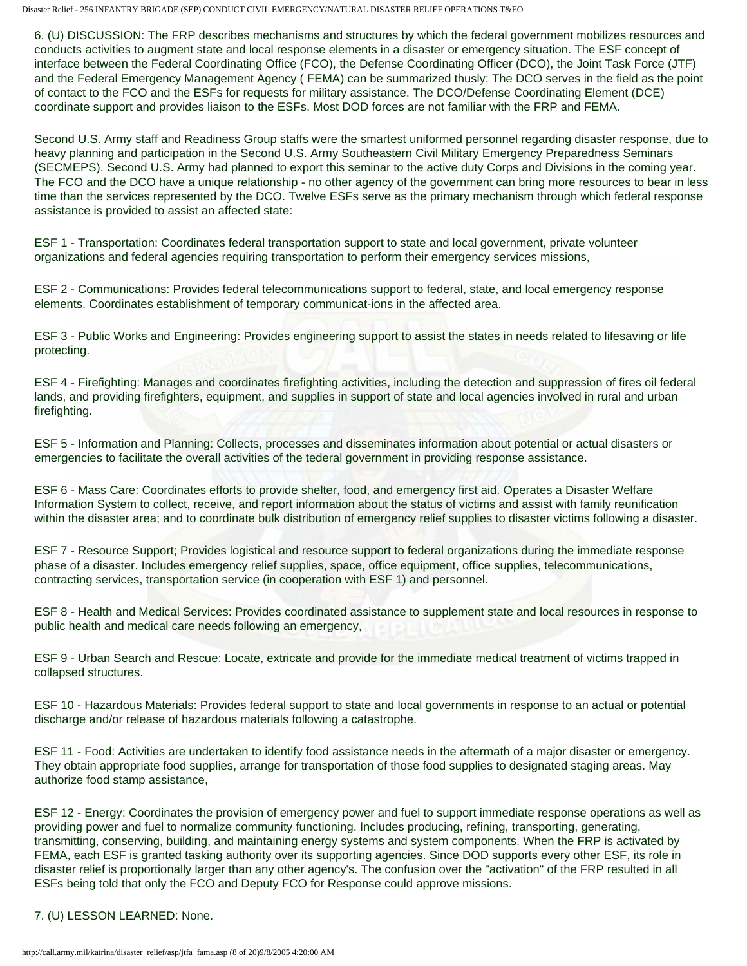6. (U) DISCUSSION: The FRP describes mechanisms and structures by which the federal government mobilizes resources and conducts activities to augment state and local response elements in a disaster or emergency situation. The ESF concept of interface between the Federal Coordinating Office (FCO), the Defense Coordinating Officer (DCO), the Joint Task Force (JTF) and the Federal Emergency Management Agency ( FEMA) can be summarized thusly: The DCO serves in the field as the point of contact to the FCO and the ESFs for requests for military assistance. The DCO/Defense Coordinating Element (DCE) coordinate support and provides liaison to the ESFs. Most DOD forces are not familiar with the FRP and FEMA.

Second U.S. Army staff and Readiness Group staffs were the smartest uniformed personnel regarding disaster response, due to heavy planning and participation in the Second U.S. Army Southeastern Civil Military Emergency Preparedness Seminars (SECMEPS). Second U.S. Army had planned to export this seminar to the active duty Corps and Divisions in the coming year. The FCO and the DCO have a unique relationship - no other agency of the government can bring more resources to bear in less time than the services represented by the DCO. Twelve ESFs serve as the primary mechanism through which federal response assistance is provided to assist an affected state:

ESF 1 - Transportation: Coordinates federal transportation support to state and local government, private volunteer organizations and federal agencies requiring transportation to perform their emergency services missions,

ESF 2 - Communications: Provides federal telecommunications support to federal, state, and local emergency response elements. Coordinates establishment of temporary communicat-ions in the affected area.

ESF 3 - Public Works and Engineering: Provides engineering support to assist the states in needs related to lifesaving or life protecting.

ESF 4 - Firefighting: Manages and coordinates firefighting activities, including the detection and suppression of fires oil federal lands, and providing firefighters, equipment, and supplies in support of state and local agencies involved in rural and urban firefighting.

ESF 5 - Information and Planning: Collects, processes and disseminates information about potential or actual disasters or emergencies to facilitate the overall activities of the tederal government in providing response assistance.

ESF 6 - Mass Care: Coordinates efforts to provide shelter, food, and emergency first aid. Operates a Disaster Welfare Information System to collect, receive, and report information about the status of victims and assist with family reunification within the disaster area; and to coordinate bulk distribution of emergency relief supplies to disaster victims following a disaster.

ESF 7 - Resource Support; Provides logistical and resource support to federal organizations during the immediate response phase of a disaster. Includes emergency relief supplies, space, office equipment, office supplies, telecommunications, contracting services, transportation service (in cooperation with ESF 1) and personnel.

ESF 8 - Health and Medical Services: Provides coordinated assistance to supplement state and local resources in response to public health and medical care needs following an emergency,

ESF 9 - Urban Search and Rescue: Locate, extricate and provide for the immediate medical treatment of victims trapped in collapsed structures.

ESF 10 - Hazardous Materials: Provides federal support to state and local governments in response to an actual or potential discharge and/or release of hazardous materials following a catastrophe.

ESF 11 - Food: Activities are undertaken to identify food assistance needs in the aftermath of a major disaster or emergency. They obtain appropriate food supplies, arrange for transportation of those food supplies to designated staging areas. May authorize food stamp assistance,

ESF 12 - Energy: Coordinates the provision of emergency power and fuel to support immediate response operations as well as providing power and fuel to normalize community functioning. Includes producing, refining, transporting, generating, transmitting, conserving, building, and maintaining energy systems and system components. When the FRP is activated by FEMA, each ESF is granted tasking authority over its supporting agencies. Since DOD supports every other ESF, its role in disaster relief is proportionally larger than any other agency's. The confusion over the "activation" of the FRP resulted in all ESFs being told that only the FCO and Deputy FCO for Response could approve missions.

### 7. (U) LESSON LEARNED: None.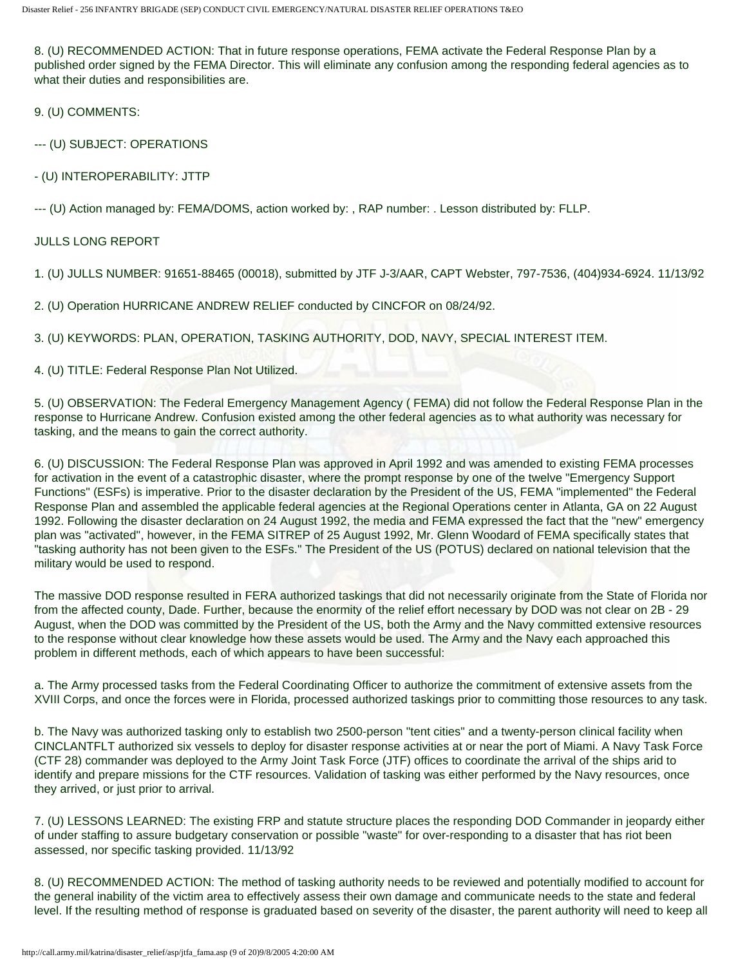8. (U) RECOMMENDED ACTION: That in future response operations, FEMA activate the Federal Response Plan by a published order signed by the FEMA Director. This will eliminate any confusion among the responding federal agencies as to what their duties and responsibilities are.

9. (U) COMMENTS:

--- (U) SUBJECT: OPERATIONS

- (U) INTEROPERABILITY: JTTP

--- (U) Action managed by: FEMA/DOMS, action worked by: , RAP number: . Lesson distributed by: FLLP.

# JULLS LONG REPORT

1. (U) JULLS NUMBER: 91651-88465 (00018), submitted by JTF J-3/AAR, CAPT Webster, 797-7536, (404)934-6924. 11/13/92

2. (U) Operation HURRICANE ANDREW RELIEF conducted by CINCFOR on 08/24/92.

3. (U) KEYWORDS: PLAN, OPERATION, TASKING AUTHORITY, DOD, NAVY, SPECIAL INTEREST ITEM.

## 4. (U) TITLE: Federal Response Plan Not Utilized.

5. (U) OBSERVATION: The Federal Emergency Management Agency ( FEMA) did not follow the Federal Response Plan in the response to Hurricane Andrew. Confusion existed among the other federal agencies as to what authority was necessary for tasking, and the means to gain the correct authority.

6. (U) DISCUSSION: The Federal Response Plan was approved in April 1992 and was amended to existing FEMA processes for activation in the event of a catastrophic disaster, where the prompt response by one of the twelve "Emergency Support Functions" (ESFs) is imperative. Prior to the disaster declaration by the President of the US, FEMA "implemented" the Federal Response Plan and assembled the applicable federal agencies at the Regional Operations center in Atlanta, GA on 22 August 1992. Following the disaster declaration on 24 August 1992, the media and FEMA expressed the fact that the "new" emergency plan was "activated", however, in the FEMA SITREP of 25 August 1992, Mr. Glenn Woodard of FEMA specifically states that "tasking authority has not been given to the ESFs." The President of the US (POTUS) declared on national television that the military would be used to respond.

The massive DOD response resulted in FERA authorized taskings that did not necessarily originate from the State of Florida nor from the affected county, Dade. Further, because the enormity of the relief effort necessary by DOD was not clear on 2B - 29 August, when the DOD was committed by the President of the US, both the Army and the Navy committed extensive resources to the response without clear knowledge how these assets would be used. The Army and the Navy each approached this problem in different methods, each of which appears to have been successful:

a. The Army processed tasks from the Federal Coordinating Officer to authorize the commitment of extensive assets from the XVIII Corps, and once the forces were in Florida, processed authorized taskings prior to committing those resources to any task.

b. The Navy was authorized tasking only to establish two 2500-person "tent cities" and a twenty-person clinical facility when CINCLANTFLT authorized six vessels to deploy for disaster response activities at or near the port of Miami. A Navy Task Force (CTF 28) commander was deployed to the Army Joint Task Force (JTF) offices to coordinate the arrival of the ships arid to identify and prepare missions for the CTF resources. Validation of tasking was either performed by the Navy resources, once they arrived, or just prior to arrival.

7. (U) LESSONS LEARNED: The existing FRP and statute structure places the responding DOD Commander in jeopardy either of under staffing to assure budgetary conservation or possible "waste" for over-responding to a disaster that has riot been assessed, nor specific tasking provided. 11/13/92

8. (U) RECOMMENDED ACTION: The method of tasking authority needs to be reviewed and potentially modified to account for the general inability of the victim area to effectively assess their own damage and communicate needs to the state and federal level. If the resulting method of response is graduated based on severity of the disaster, the parent authority will need to keep all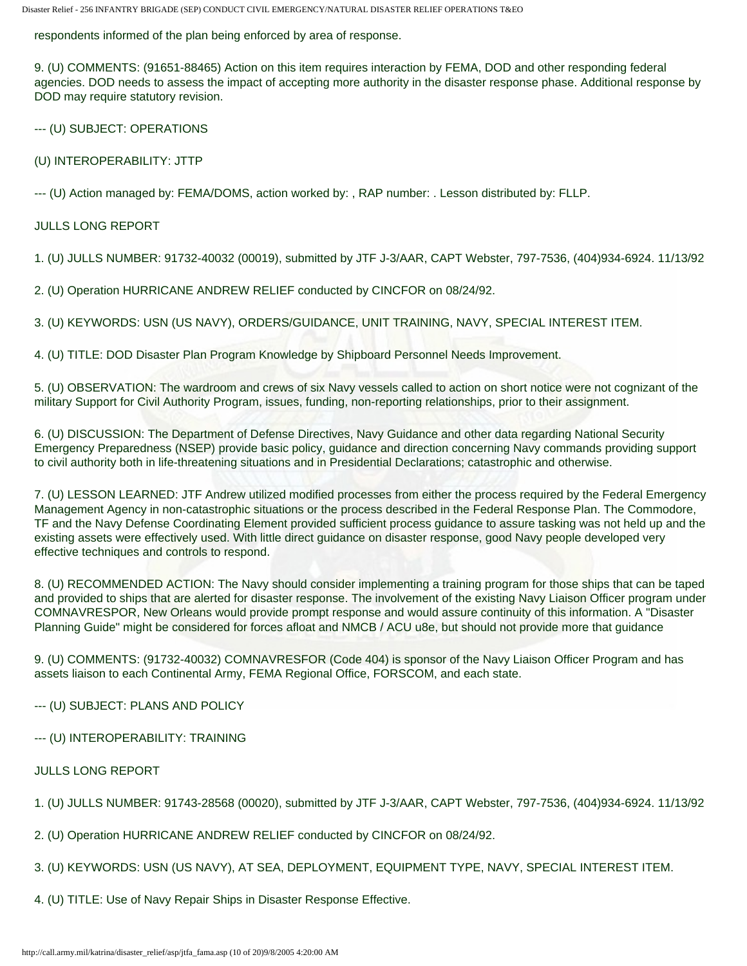respondents informed of the plan being enforced by area of response.

9. (U) COMMENTS: (91651-88465) Action on this item requires interaction by FEMA, DOD and other responding federal agencies. DOD needs to assess the impact of accepting more authority in the disaster response phase. Additional response by DOD may require statutory revision.

--- (U) SUBJECT: OPERATIONS

(U) INTEROPERABILITY: JTTP

--- (U) Action managed by: FEMA/DOMS, action worked by: , RAP number: . Lesson distributed by: FLLP.

### JULLS LONG REPORT

1. (U) JULLS NUMBER: 91732-40032 (00019), submitted by JTF J-3/AAR, CAPT Webster, 797-7536, (404)934-6924. 11/13/92

2. (U) Operation HURRICANE ANDREW RELIEF conducted by CINCFOR on 08/24/92.

3. (U) KEYWORDS: USN (US NAVY), ORDERS/GUIDANCE, UNIT TRAINING, NAVY, SPECIAL INTEREST ITEM.

4. (U) TITLE: DOD Disaster Plan Program Knowledge by Shipboard Personnel Needs Improvement.

5. (U) OBSERVATION: The wardroom and crews of six Navy vessels called to action on short notice were not cognizant of the military Support for Civil Authority Program, issues, funding, non-reporting relationships, prior to their assignment.

6. (U) DISCUSSION: The Department of Defense Directives, Navy Guidance and other data regarding National Security Emergency Preparedness (NSEP) provide basic policy, guidance and direction concerning Navy commands providing support to civil authority both in life-threatening situations and in Presidential Declarations; catastrophic and otherwise.

7. (U) LESSON LEARNED: JTF Andrew utilized modified processes from either the process required by the Federal Emergency Management Agency in non-catastrophic situations or the process described in the Federal Response Plan. The Commodore, TF and the Navy Defense Coordinating Element provided sufficient process guidance to assure tasking was not held up and the existing assets were effectively used. With little direct guidance on disaster response, good Navy people developed very effective techniques and controls to respond.

8. (U) RECOMMENDED ACTION: The Navy should consider implementing a training program for those ships that can be taped and provided to ships that are alerted for disaster response. The involvement of the existing Navy Liaison Officer program under COMNAVRESPOR, New Orleans would provide prompt response and would assure continuity of this information. A "Disaster Planning Guide" might be considered for forces afloat and NMCB / ACU u8e, but should not provide more that guidance

9. (U) COMMENTS: (91732-40032) COMNAVRESFOR (Code 404) is sponsor of the Navy Liaison Officer Program and has assets liaison to each Continental Army, FEMA Regional Office, FORSCOM, and each state.

- --- (U) SUBJECT: PLANS AND POLICY
- --- (U) INTEROPERABILITY: TRAINING
- JULLS LONG REPORT
- 1. (U) JULLS NUMBER: 91743-28568 (00020), submitted by JTF J-3/AAR, CAPT Webster, 797-7536, (404)934-6924. 11/13/92
- 2. (U) Operation HURRICANE ANDREW RELIEF conducted by CINCFOR on 08/24/92.
- 3. (U) KEYWORDS: USN (US NAVY), AT SEA, DEPLOYMENT, EQUIPMENT TYPE, NAVY, SPECIAL INTEREST ITEM.
- 4. (U) TITLE: Use of Navy Repair Ships in Disaster Response Effective.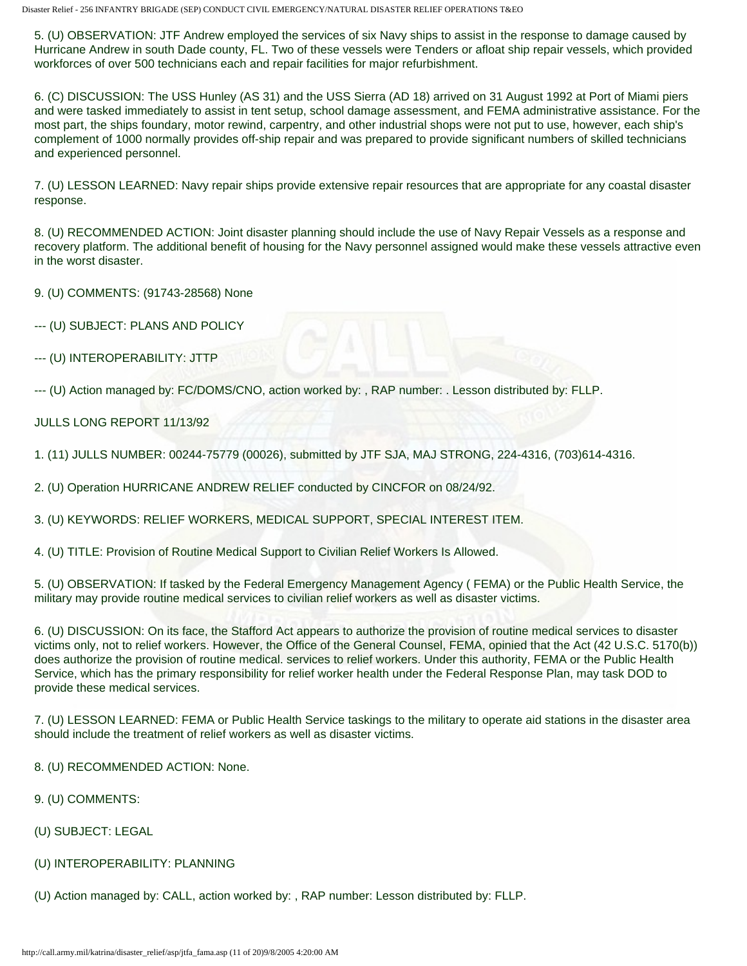5. (U) OBSERVATION: JTF Andrew employed the services of six Navy ships to assist in the response to damage caused by Hurricane Andrew in south Dade county, FL. Two of these vessels were Tenders or afloat ship repair vessels, which provided workforces of over 500 technicians each and repair facilities for major refurbishment.

6. (C) DISCUSSION: The USS Hunley (AS 31) and the USS Sierra (AD 18) arrived on 31 August 1992 at Port of Miami piers and were tasked immediately to assist in tent setup, school damage assessment, and FEMA administrative assistance. For the most part, the ships foundary, motor rewind, carpentry, and other industrial shops were not put to use, however, each ship's complement of 1000 normally provides off-ship repair and was prepared to provide significant numbers of skilled technicians and experienced personnel.

7. (U) LESSON LEARNED: Navy repair ships provide extensive repair resources that are appropriate for any coastal disaster response.

8. (U) RECOMMENDED ACTION: Joint disaster planning should include the use of Navy Repair Vessels as a response and recovery platform. The additional benefit of housing for the Navy personnel assigned would make these vessels attractive even in the worst disaster.

9. (U) COMMENTS: (91743-28568) None

- --- (U) SUBJECT: PLANS AND POLICY
- --- (U) INTEROPERABILITY: JTTP

--- (U) Action managed by: FC/DOMS/CNO, action worked by: , RAP number: . Lesson distributed by: FLLP.

## JULLS LONG REPORT 11/13/92

1. (11) JULLS NUMBER: 00244-75779 (00026), submitted by JTF SJA, MAJ STRONG, 224-4316, (703)614-4316.

2. (U) Operation HURRICANE ANDREW RELIEF conducted by CINCFOR on 08/24/92.

3. (U) KEYWORDS: RELIEF WORKERS, MEDICAL SUPPORT, SPECIAL INTEREST ITEM.

4. (U) TITLE: Provision of Routine Medical Support to Civilian Relief Workers Is Allowed.

5. (U) OBSERVATION: If tasked by the Federal Emergency Management Agency ( FEMA) or the Public Health Service, the military may provide routine medical services to civilian relief workers as well as disaster victims.

6. (U) DISCUSSION: On its face, the Stafford Act appears to authorize the provision of routine medical services to disaster victims only, not to relief workers. However, the Office of the General Counsel, FEMA, opinied that the Act (42 U.S.C. 5170(b)) does authorize the provision of routine medical. services to relief workers. Under this authority, FEMA or the Public Health Service, which has the primary responsibility for relief worker health under the Federal Response Plan, may task DOD to provide these medical services.

7. (U) LESSON LEARNED: FEMA or Public Health Service taskings to the military to operate aid stations in the disaster area should include the treatment of relief workers as well as disaster victims.

- 8. (U) RECOMMENDED ACTION: None.
- 9. (U) COMMENTS:
- (U) SUBJECT: LEGAL
- (U) INTEROPERABILITY: PLANNING
- (U) Action managed by: CALL, action worked by: , RAP number: Lesson distributed by: FLLP.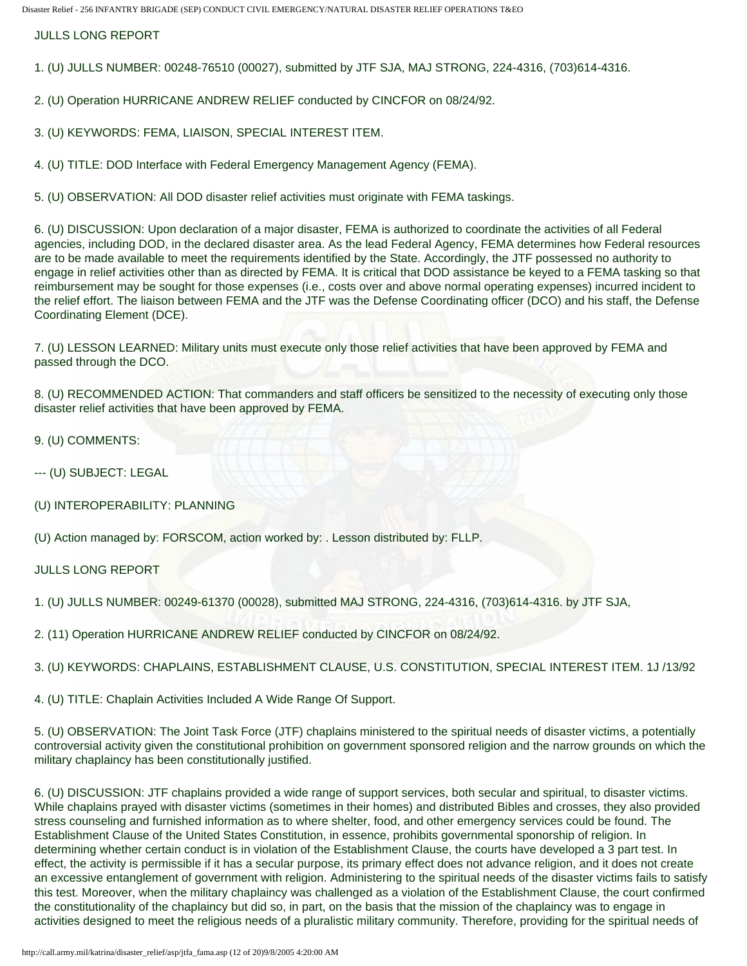JULLS LONG REPORT

1. (U) JULLS NUMBER: 00248-76510 (00027), submitted by JTF SJA, MAJ STRONG, 224-4316, (703)614-4316.

2. (U) Operation HURRICANE ANDREW RELIEF conducted by CINCFOR on 08/24/92.

3. (U) KEYWORDS: FEMA, LIAISON, SPECIAL INTEREST ITEM.

4. (U) TITLE: DOD Interface with Federal Emergency Management Agency (FEMA).

5. (U) OBSERVATION: All DOD disaster relief activities must originate with FEMA taskings.

6. (U) DISCUSSION: Upon declaration of a major disaster, FEMA is authorized to coordinate the activities of all Federal agencies, including DOD, in the declared disaster area. As the lead Federal Agency, FEMA determines how Federal resources are to be made available to meet the requirements identified by the State. Accordingly, the JTF possessed no authority to engage in relief activities other than as directed by FEMA. It is critical that DOD assistance be keyed to a FEMA tasking so that reimbursement may be sought for those expenses (i.e., costs over and above normal operating expenses) incurred incident to the relief effort. The liaison between FEMA and the JTF was the Defense Coordinating officer (DCO) and his staff, the Defense Coordinating Element (DCE).

7. (U) LESSON LEARNED: Military units must execute only those relief activities that have been approved by FEMA and passed through the DCO.

8. (U) RECOMMENDED ACTION: That commanders and staff officers be sensitized to the necessity of executing only those disaster relief activities that have been approved by FEMA.

- 9. (U) COMMENTS:
- --- (U) SUBJECT: LEGAL
- (U) INTEROPERABILITY: PLANNING

(U) Action managed by: FORSCOM, action worked by: . Lesson distributed by: FLLP.

# JULLS LONG REPORT

1. (U) JULLS NUMBER: 00249-61370 (00028), submitted MAJ STRONG, 224-4316, (703)614-4316. by JTF SJA,

2. (11) Operation HURRICANE ANDREW RELIEF conducted by CINCFOR on 08/24/92.

3. (U) KEYWORDS: CHAPLAINS, ESTABLISHMENT CLAUSE, U.S. CONSTITUTION, SPECIAL INTEREST ITEM. 1J /13/92

4. (U) TITLE: Chaplain Activities Included A Wide Range Of Support.

5. (U) OBSERVATION: The Joint Task Force (JTF) chaplains ministered to the spiritual needs of disaster victims, a potentially controversial activity given the constitutional prohibition on government sponsored religion and the narrow grounds on which the military chaplaincy has been constitutionally justified.

6. (U) DISCUSSION: JTF chaplains provided a wide range of support services, both secular and spiritual, to disaster victims. While chaplains prayed with disaster victims (sometimes in their homes) and distributed Bibles and crosses, they also provided stress counseling and furnished information as to where shelter, food, and other emergency services could be found. The Establishment Clause of the United States Constitution, in essence, prohibits governmental sponorship of religion. In determining whether certain conduct is in violation of the Establishment Clause, the courts have developed a 3 part test. In effect, the activity is permissible if it has a secular purpose, its primary effect does not advance religion, and it does not create an excessive entanglement of government with religion. Administering to the spiritual needs of the disaster victims fails to satisfy this test. Moreover, when the military chaplaincy was challenged as a violation of the Establishment Clause, the court confirmed the constitutionality of the chaplaincy but did so, in part, on the basis that the mission of the chaplaincy was to engage in activities designed to meet the religious needs of a pluralistic military community. Therefore, providing for the spiritual needs of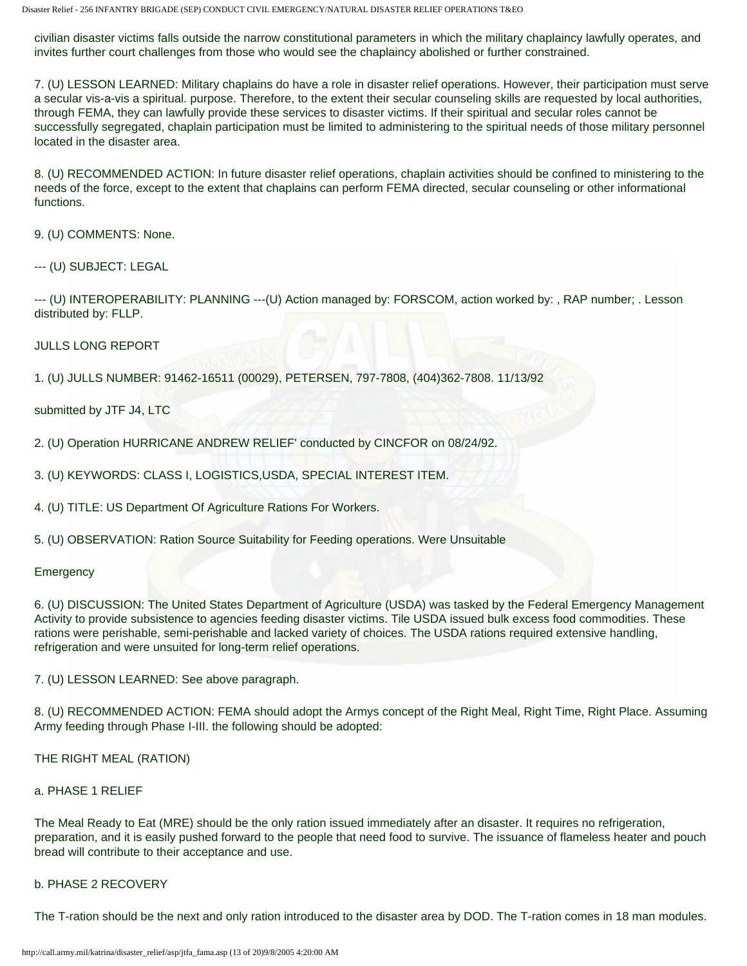civilian disaster victims falls outside the narrow constitutional parameters in which the military chaplaincy lawfully operates, and invites further court challenges from those who would see the chaplaincy abolished or further constrained.

7. (U) LESSON LEARNED: Military chaplains do have a role in disaster relief operations. However, their participation must serve a secular vis-a-vis a spiritual. purpose. Therefore, to the extent their secular counseling skills are requested by local authorities, through FEMA, they can lawfully provide these services to disaster victims. If their spiritual and secular roles cannot be successfully segregated, chaplain participation must be limited to administering to the spiritual needs of those military personnel located in the disaster area.

8. (U) RECOMMENDED ACTION: In future disaster relief operations, chaplain activities should be confined to ministering to the needs of the force, except to the extent that chaplains can perform FEMA directed, secular counseling or other informational functions.

9. (U) COMMENTS: None.

--- (U) SUBJECT: LEGAL

--- (U) INTEROPERABILITY: PLANNING ---(U) Action managed by: FORSCOM, action worked by: , RAP number; . Lesson distributed by: FLLP.

JULLS LONG REPORT

1. (U) JULLS NUMBER: 91462-16511 (00029), PETERSEN, 797-7808, (404)362-7808. 11/13/92

submitted by JTF J4, LTC

2. (U) Operation HURRICANE ANDREW RELIEF' conducted by CINCFOR on 08/24/92.

3. (U) KEYWORDS: CLASS I, LOGISTICS,USDA, SPECIAL INTEREST ITEM.

4. (U) TITLE: US Department Of Agriculture Rations For Workers.

5. (U) OBSERVATION: Ration Source Suitability for Feeding operations. Were Unsuitable

### **Emergency**

6. (U) DISCUSSION: The United States Department of Agriculture (USDA) was tasked by the Federal Emergency Management Activity to provide subsistence to agencies feeding disaster victims. Tile USDA issued bulk excess food commodities. These rations were perishable, semi-perishable and lacked variety of choices. The USDA rations required extensive handling, refrigeration and were unsuited for long-term relief operations.

7. (U) LESSON LEARNED: See above paragraph.

8. (U) RECOMMENDED ACTION: FEMA should adopt the Armys concept of the Right Meal, Right Time, Right Place. Assuming Army feeding through Phase I-III. the following should be adopted:

THE RIGHT MEAL (RATION)

### a. PHASE 1 RELIEF

The Meal Ready to Eat (MRE) should be the only ration issued immediately after an disaster. It requires no refrigeration, preparation, and it is easily pushed forward to the people that need food to survive. The issuance of flameless heater and pouch bread will contribute to their acceptance and use.

### b. PHASE 2 RECOVERY

The T-ration should be the next and only ration introduced to the disaster area by DOD. The T-ration comes in 18 man modules.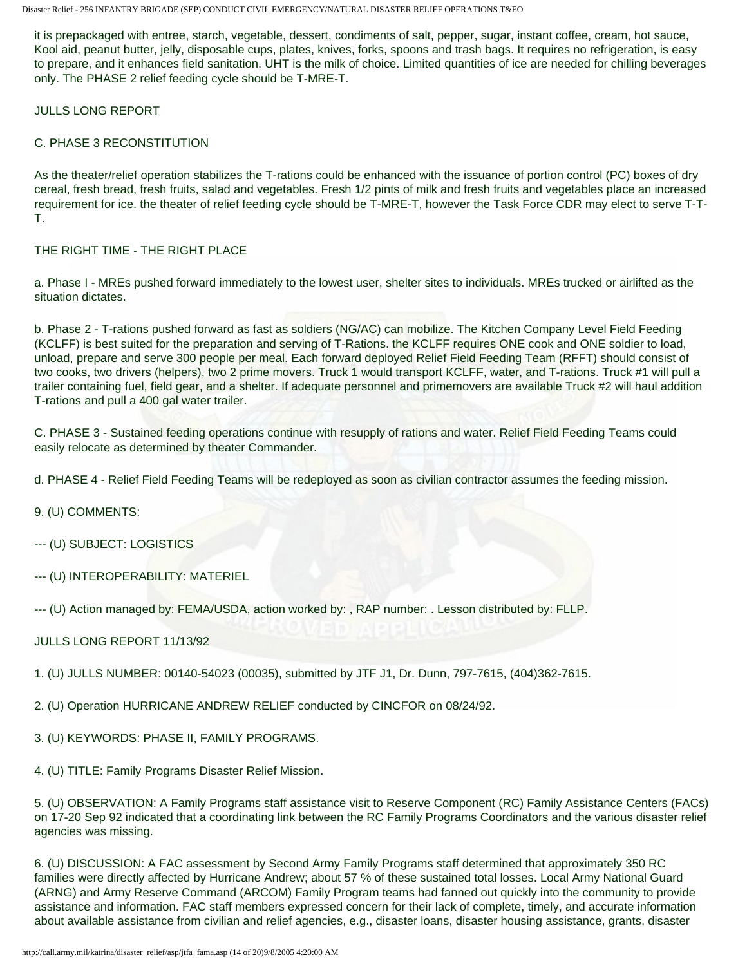it is prepackaged with entree, starch, vegetable, dessert, condiments of salt, pepper, sugar, instant coffee, cream, hot sauce, Kool aid, peanut butter, jelly, disposable cups, plates, knives, forks, spoons and trash bags. It requires no refrigeration, is easy to prepare, and it enhances field sanitation. UHT is the milk of choice. Limited quantities of ice are needed for chilling beverages only. The PHASE 2 relief feeding cycle should be T-MRE-T.

JULLS LONG REPORT

# C. PHASE 3 RECONSTITUTION

As the theater/relief operation stabilizes the T-rations could be enhanced with the issuance of portion control (PC) boxes of dry cereal, fresh bread, fresh fruits, salad and vegetables. Fresh 1/2 pints of milk and fresh fruits and vegetables place an increased requirement for ice. the theater of relief feeding cycle should be T-MRE-T, however the Task Force CDR may elect to serve T-T-T.

## THE RIGHT TIME - THE RIGHT PLACE

a. Phase I - MREs pushed forward immediately to the lowest user, shelter sites to individuals. MREs trucked or airlifted as the situation dictates.

b. Phase 2 - T-rations pushed forward as fast as soldiers (NG/AC) can mobilize. The Kitchen Company Level Field Feeding (KCLFF) is best suited for the preparation and serving of T-Rations. the KCLFF requires ONE cook and ONE soldier to load, unload, prepare and serve 300 people per meal. Each forward deployed Relief Field Feeding Team (RFFT) should consist of two cooks, two drivers (helpers), two 2 prime movers. Truck 1 would transport KCLFF, water, and T-rations. Truck #1 will pull a trailer containing fuel, field gear, and a shelter. If adequate personnel and primemovers are available Truck #2 will haul addition T-rations and pull a 400 gal water trailer.

C. PHASE 3 - Sustained feeding operations continue with resupply of rations and water. Relief Field Feeding Teams could easily relocate as determined by theater Commander.

d. PHASE 4 - Relief Field Feeding Teams will be redeployed as soon as civilian contractor assumes the feeding mission.

- 9. (U) COMMENTS:
- --- (U) SUBJECT: LOGISTICS
- --- (U) INTEROPERABILITY: MATERIEL

--- (U) Action managed by: FEMA/USDA, action worked by: , RAP number: . Lesson distributed by: FLLP.

- JULLS LONG REPORT 11/13/92
- 1. (U) JULLS NUMBER: 00140-54023 (00035), submitted by JTF J1, Dr. Dunn, 797-7615, (404)362-7615.
- 2. (U) Operation HURRICANE ANDREW RELIEF conducted by CINCFOR on 08/24/92.
- 3. (U) KEYWORDS: PHASE II, FAMILY PROGRAMS.
- 4. (U) TITLE: Family Programs Disaster Relief Mission.

5. (U) OBSERVATION: A Family Programs staff assistance visit to Reserve Component (RC) Family Assistance Centers (FACs) on 17-20 Sep 92 indicated that a coordinating link between the RC Family Programs Coordinators and the various disaster relief agencies was missing.

6. (U) DISCUSSION: A FAC assessment by Second Army Family Programs staff determined that approximately 350 RC families were directly affected by Hurricane Andrew; about 57 % of these sustained total losses. Local Army National Guard (ARNG) and Army Reserve Command (ARCOM) Family Program teams had fanned out quickly into the community to provide assistance and information. FAC staff members expressed concern for their lack of complete, timely, and accurate information about available assistance from civilian and relief agencies, e.g., disaster loans, disaster housing assistance, grants, disaster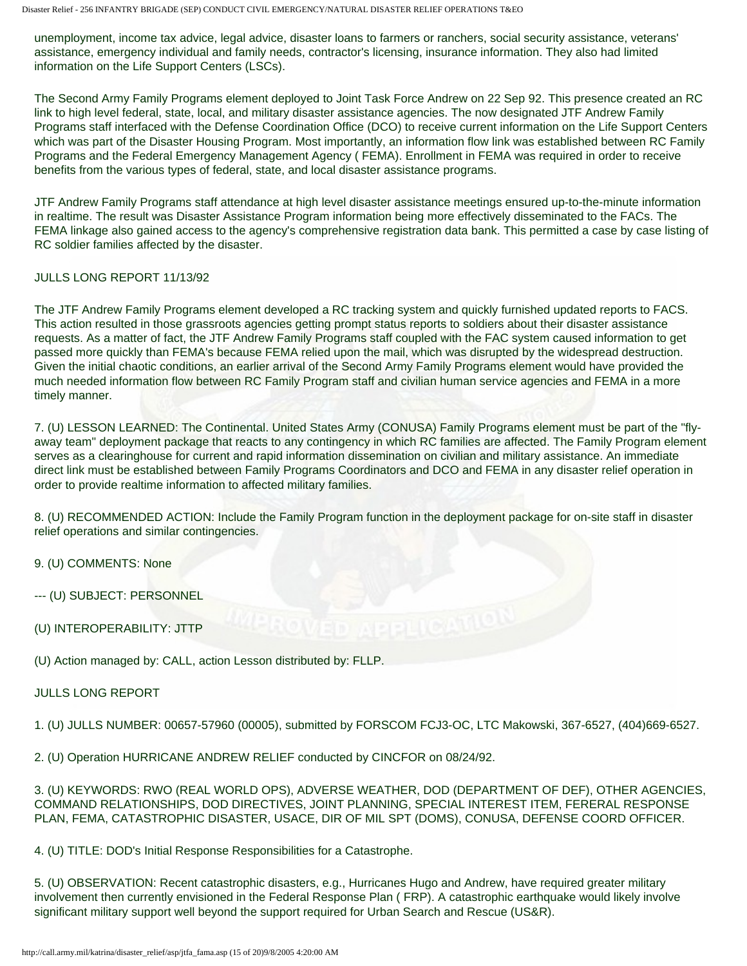unemployment, income tax advice, legal advice, disaster loans to farmers or ranchers, social security assistance, veterans' assistance, emergency individual and family needs, contractor's licensing, insurance information. They also had limited information on the Life Support Centers (LSCs).

The Second Army Family Programs element deployed to Joint Task Force Andrew on 22 Sep 92. This presence created an RC link to high level federal, state, local, and military disaster assistance agencies. The now designated JTF Andrew Family Programs staff interfaced with the Defense Coordination Office (DCO) to receive current information on the Life Support Centers which was part of the Disaster Housing Program. Most importantly, an information flow link was established between RC Family Programs and the Federal Emergency Management Agency ( FEMA). Enrollment in FEMA was required in order to receive benefits from the various types of federal, state, and local disaster assistance programs.

JTF Andrew Family Programs staff attendance at high level disaster assistance meetings ensured up-to-the-minute information in realtime. The result was Disaster Assistance Program information being more effectively disseminated to the FACs. The FEMA linkage also gained access to the agency's comprehensive registration data bank. This permitted a case by case listing of RC soldier families affected by the disaster.

## JULLS LONG REPORT 11/13/92

The JTF Andrew Family Programs element developed a RC tracking system and quickly furnished updated reports to FACS. This action resulted in those grassroots agencies getting prompt status reports to soldiers about their disaster assistance requests. As a matter of fact, the JTF Andrew Family Programs staff coupled with the FAC system caused information to get passed more quickly than FEMA's because FEMA relied upon the mail, which was disrupted by the widespread destruction. Given the initial chaotic conditions, an earlier arrival of the Second Army Family Programs element would have provided the much needed information flow between RC Family Program staff and civilian human service agencies and FEMA in a more timely manner.

7. (U) LESSON LEARNED: The Continental. United States Army (CONUSA) Family Programs element must be part of the "flyaway team" deployment package that reacts to any contingency in which RC families are affected. The Family Program element serves as a clearinghouse for current and rapid information dissemination on civilian and military assistance. An immediate direct link must be established between Family Programs Coordinators and DCO and FEMA in any disaster relief operation in order to provide realtime information to affected military families.

8. (U) RECOMMENDED ACTION: Include the Family Program function in the deployment package for on-site staff in disaster relief operations and similar contingencies.

9. (U) COMMENTS: None

--- (U) SUBJECT: PERSONNEL

(U) INTEROPERABILITY: JTTP

(U) Action managed by: CALL, action Lesson distributed by: FLLP.

### JULLS LONG REPORT

1. (U) JULLS NUMBER: 00657-57960 (00005), submitted by FORSCOM FCJ3-OC, LTC Makowski, 367-6527, (404)669-6527.

2. (U) Operation HURRICANE ANDREW RELIEF conducted by CINCFOR on 08/24/92.

3. (U) KEYWORDS: RWO (REAL WORLD OPS), ADVERSE WEATHER, DOD (DEPARTMENT OF DEF), OTHER AGENCIES, COMMAND RELATIONSHIPS, DOD DIRECTIVES, JOINT PLANNING, SPECIAL INTEREST ITEM, FERERAL RESPONSE PLAN, FEMA, CATASTROPHIC DISASTER, USACE, DIR OF MIL SPT (DOMS), CONUSA, DEFENSE COORD OFFICER.

4. (U) TITLE: DOD's Initial Response Responsibilities for a Catastrophe.

5. (U) OBSERVATION: Recent catastrophic disasters, e.g., Hurricanes Hugo and Andrew, have required greater military involvement then currently envisioned in the Federal Response Plan ( FRP). A catastrophic earthquake would likely involve significant military support well beyond the support required for Urban Search and Rescue (US&R).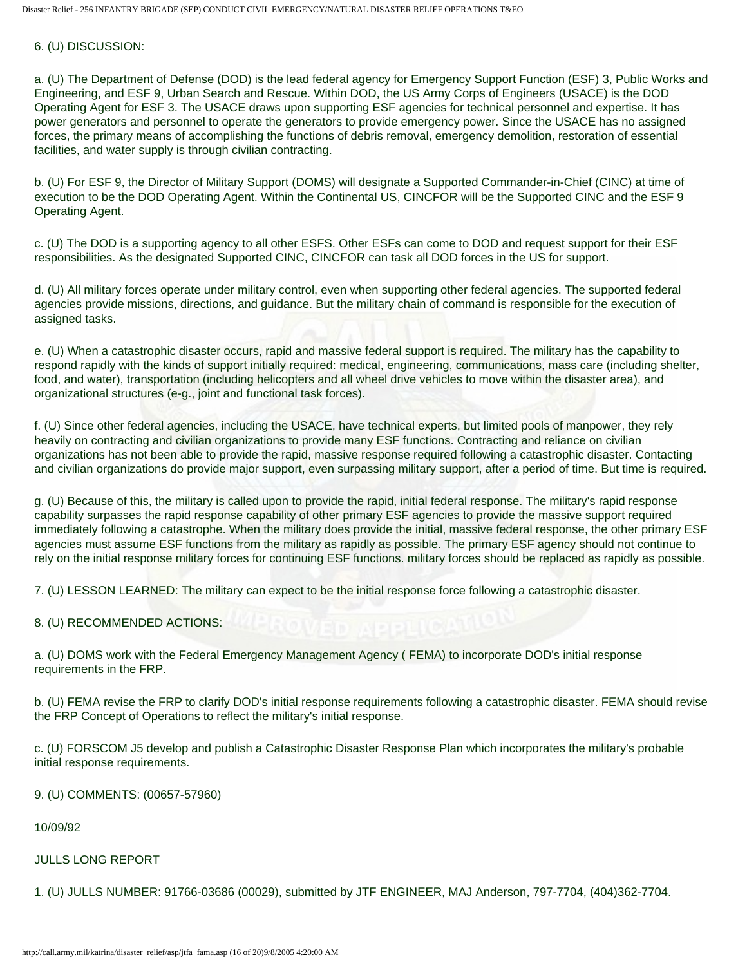#### 6. (U) DISCUSSION:

a. (U) The Department of Defense (DOD) is the lead federal agency for Emergency Support Function (ESF) 3, Public Works and Engineering, and ESF 9, Urban Search and Rescue. Within DOD, the US Army Corps of Engineers (USACE) is the DOD Operating Agent for ESF 3. The USACE draws upon supporting ESF agencies for technical personnel and expertise. It has power generators and personnel to operate the generators to provide emergency power. Since the USACE has no assigned forces, the primary means of accomplishing the functions of debris removal, emergency demolition, restoration of essential facilities, and water supply is through civilian contracting.

b. (U) For ESF 9, the Director of Military Support (DOMS) will designate a Supported Commander-in-Chief (CINC) at time of execution to be the DOD Operating Agent. Within the Continental US, CINCFOR will be the Supported CINC and the ESF 9 Operating Agent.

c. (U) The DOD is a supporting agency to all other ESFS. Other ESFs can come to DOD and request support for their ESF responsibilities. As the designated Supported CINC, CINCFOR can task all DOD forces in the US for support.

d. (U) All military forces operate under military control, even when supporting other federal agencies. The supported federal agencies provide missions, directions, and guidance. But the military chain of command is responsible for the execution of assigned tasks.

e. (U) When a catastrophic disaster occurs, rapid and massive federal support is required. The military has the capability to respond rapidly with the kinds of support initially required: medical, engineering, communications, mass care (including shelter, food, and water), transportation (including helicopters and all wheel drive vehicles to move within the disaster area), and organizational structures (e-g., joint and functional task forces).

f. (U) Since other federal agencies, including the USACE, have technical experts, but limited pools of manpower, they rely heavily on contracting and civilian organizations to provide many ESF functions. Contracting and reliance on civilian organizations has not been able to provide the rapid, massive response required following a catastrophic disaster. Contacting and civilian organizations do provide major support, even surpassing military support, after a period of time. But time is required.

g. (U) Because of this, the military is called upon to provide the rapid, initial federal response. The military's rapid response capability surpasses the rapid response capability of other primary ESF agencies to provide the massive support required immediately following a catastrophe. When the military does provide the initial, massive federal response, the other primary ESF agencies must assume ESF functions from the military as rapidly as possible. The primary ESF agency should not continue to rely on the initial response military forces for continuing ESF functions. military forces should be replaced as rapidly as possible.

7. (U) LESSON LEARNED: The military can expect to be the initial response force following a catastrophic disaster.

8. (U) RECOMMENDED ACTIONS:

a. (U) DOMS work with the Federal Emergency Management Agency ( FEMA) to incorporate DOD's initial response requirements in the FRP.

b. (U) FEMA revise the FRP to clarify DOD's initial response requirements following a catastrophic disaster. FEMA should revise the FRP Concept of Operations to reflect the military's initial response.

c. (U) FORSCOM J5 develop and publish a Catastrophic Disaster Response Plan which incorporates the military's probable initial response requirements.

9. (U) COMMENTS: (00657-57960)

10/09/92

#### JULLS LONG REPORT

1. (U) JULLS NUMBER: 91766-03686 (00029), submitted by JTF ENGINEER, MAJ Anderson, 797-7704, (404)362-7704.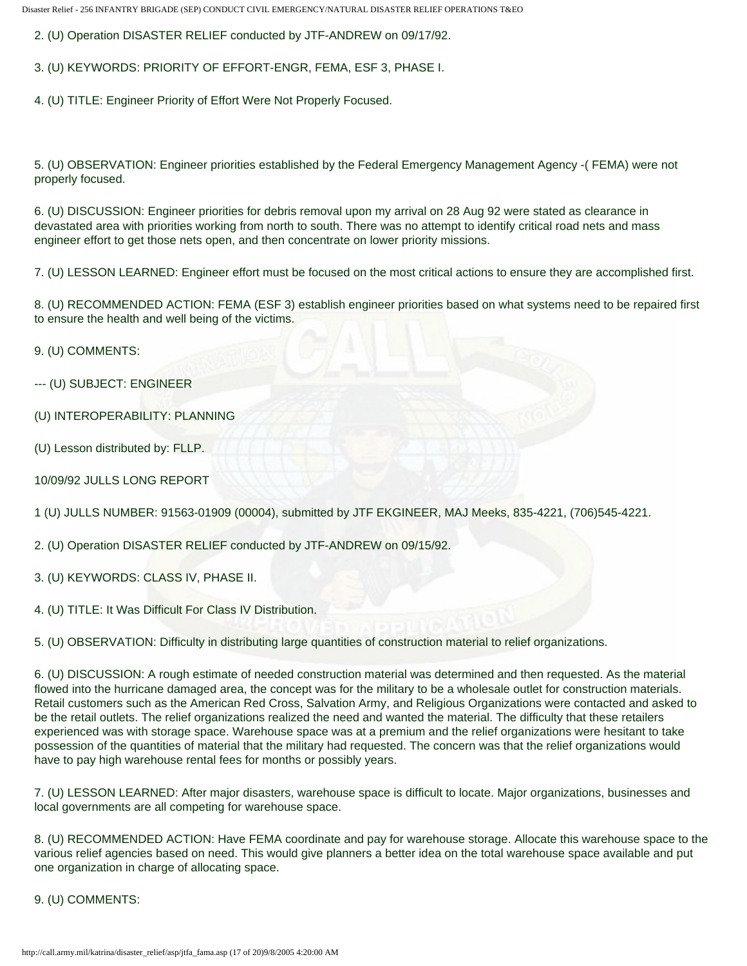2. (U) Operation DISASTER RELIEF conducted by JTF-ANDREW on 09/17/92.

3. (U) KEYWORDS: PRIORITY OF EFFORT-ENGR, FEMA, ESF 3, PHASE I.

4. (U) TITLE: Engineer Priority of Effort Were Not Properly Focused.

5. (U) OBSERVATION: Engineer priorities established by the Federal Emergency Management Agency -( FEMA) were not properly focused.

6. (U) DISCUSSION: Engineer priorities for debris removal upon my arrival on 28 Aug 92 were stated as clearance in devastated area with priorities working from north to south. There was no attempt to identify critical road nets and mass engineer effort to get those nets open, and then concentrate on lower priority missions.

7. (U) LESSON LEARNED: Engineer effort must be focused on the most critical actions to ensure they are accomplished first.

8. (U) RECOMMENDED ACTION: FEMA (ESF 3) establish engineer priorities based on what systems need to be repaired first to ensure the health and well being of the victims.

9. (U) COMMENTS:

--- (U) SUBJECT: ENGINEER

(U) INTEROPERABILITY: PLANNING

(U) Lesson distributed by: FLLP.

10/09/92 JULLS LONG REPORT

1 (U) JULLS NUMBER: 91563-01909 (00004), submitted by JTF EKGINEER, MAJ Meeks, 835-4221, (706)545-4221.

2. (U) Operation DISASTER RELIEF conducted by JTF-ANDREW on 09/15/92.

3. (U) KEYWORDS: CLASS IV, PHASE II.

4. (U) TITLE: It Was Difficult For Class IV Distribution.

5. (U) OBSERVATION: Difficulty in distributing large quantities of construction material to relief organizations.

6. (U) DISCUSSION: A rough estimate of needed construction material was determined and then requested. As the material flowed into the hurricane damaged area, the concept was for the military to be a wholesale outlet for construction materials. Retail customers such as the American Red Cross, Salvation Army, and Religious Organizations were contacted and asked to be the retail outlets. The relief organizations realized the need and wanted the material. The difficulty that these retailers experienced was with storage space. Warehouse space was at a premium and the relief organizations were hesitant to take possession of the quantities of material that the military had requested. The concern was that the relief organizations would have to pay high warehouse rental fees for months or possibly years.

7. (U) LESSON LEARNED: After major disasters, warehouse space is difficult to locate. Major organizations, businesses and local governments are all competing for warehouse space.

8. (U) RECOMMENDED ACTION: Have FEMA coordinate and pay for warehouse storage. Allocate this warehouse space to the various relief agencies based on need. This would give planners a better idea on the total warehouse space available and put one organization in charge of allocating space.

9. (U) COMMENTS: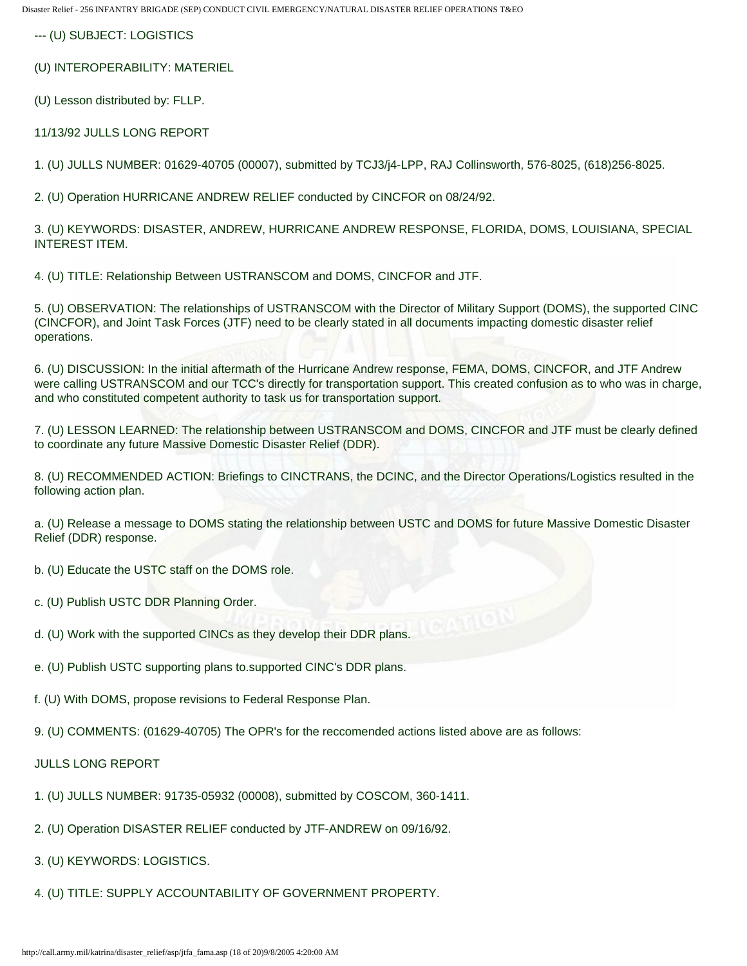--- (U) SUBJECT: LOGISTICS

(U) INTEROPERABILITY: MATERIEL

(U) Lesson distributed by: FLLP.

11/13/92 JULLS LONG REPORT

1. (U) JULLS NUMBER: 01629-40705 (00007), submitted by TCJ3/j4-LPP, RAJ Collinsworth, 576-8025, (618)256-8025.

2. (U) Operation HURRICANE ANDREW RELIEF conducted by CINCFOR on 08/24/92.

3. (U) KEYWORDS: DISASTER, ANDREW, HURRICANE ANDREW RESPONSE, FLORIDA, DOMS, LOUISIANA, SPECIAL INTEREST ITEM.

4. (U) TITLE: Relationship Between USTRANSCOM and DOMS, CINCFOR and JTF.

5. (U) OBSERVATION: The relationships of USTRANSCOM with the Director of Military Support (DOMS), the supported CINC (CINCFOR), and Joint Task Forces (JTF) need to be clearly stated in all documents impacting domestic disaster relief operations.

6. (U) DISCUSSION: In the initial aftermath of the Hurricane Andrew response, FEMA, DOMS, CINCFOR, and JTF Andrew were calling USTRANSCOM and our TCC's directly for transportation support. This created confusion as to who was in charge, and who constituted competent authority to task us for transportation support.

7. (U) LESSON LEARNED: The relationship between USTRANSCOM and DOMS, CINCFOR and JTF must be clearly defined to coordinate any future Massive Domestic Disaster Relief (DDR).

8. (U) RECOMMENDED ACTION: Briefings to CINCTRANS, the DCINC, and the Director Operations/Logistics resulted in the following action plan.

a. (U) Release a message to DOMS stating the relationship between USTC and DOMS for future Massive Domestic Disaster Relief (DDR) response.

b. (U) Educate the USTC staff on the DOMS role.

- c. (U) Publish USTC DDR Planning Order.
- d. (U) Work with the supported CINCs as they develop their DDR plans.
- e. (U) Publish USTC supporting plans to.supported CINC's DDR plans.
- f. (U) With DOMS, propose revisions to Federal Response Plan.
- 9. (U) COMMENTS: (01629-40705) The OPR's for the reccomended actions listed above are as follows:

### JULLS LONG REPORT

- 1. (U) JULLS NUMBER: 91735-05932 (00008), submitted by COSCOM, 360-1411.
- 2. (U) Operation DISASTER RELIEF conducted by JTF-ANDREW on 09/16/92.
- 3. (U) KEYWORDS: LOGISTICS.
- 4. (U) TITLE: SUPPLY ACCOUNTABILITY OF GOVERNMENT PROPERTY.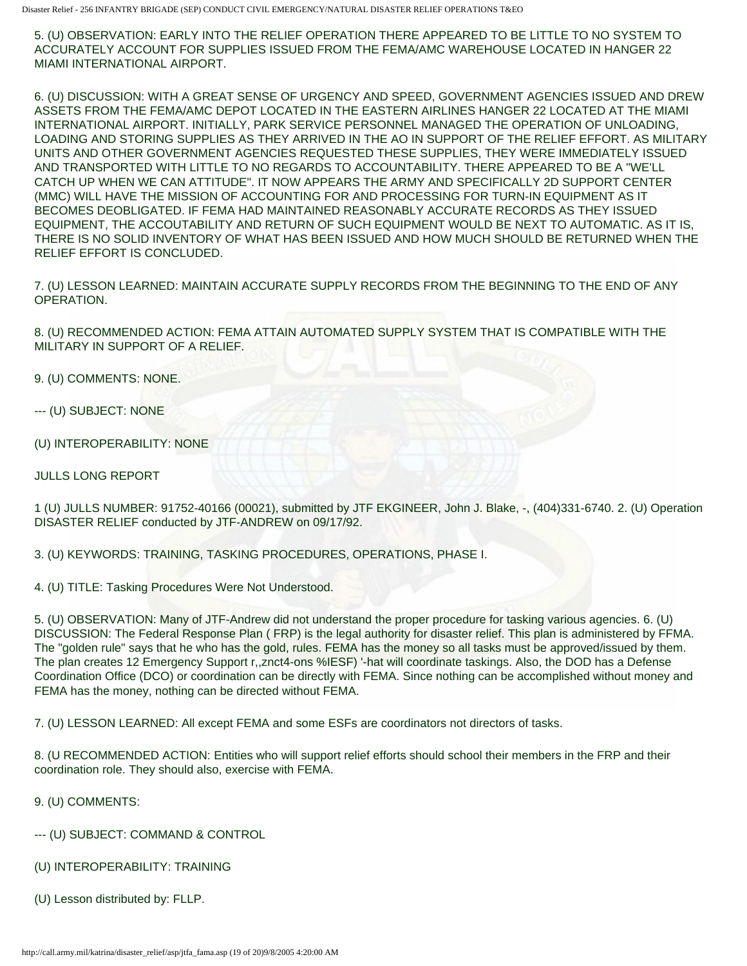5. (U) OBSERVATION: EARLY INTO THE RELIEF OPERATION THERE APPEARED TO BE LITTLE TO NO SYSTEM TO ACCURATELY ACCOUNT FOR SUPPLIES ISSUED FROM THE FEMA/AMC WAREHOUSE LOCATED IN HANGER 22 MIAMI INTERNATIONAL AIRPORT.

6. (U) DISCUSSION: WITH A GREAT SENSE OF URGENCY AND SPEED, GOVERNMENT AGENCIES ISSUED AND DREW ASSETS FROM THE FEMA/AMC DEPOT LOCATED IN THE EASTERN AIRLINES HANGER 22 LOCATED AT THE MIAMI INTERNATIONAL AIRPORT. INITIALLY, PARK SERVICE PERSONNEL MANAGED THE OPERATION OF UNLOADING, LOADING AND STORING SUPPLIES AS THEY ARRIVED IN THE AO IN SUPPORT OF THE RELIEF EFFORT. AS MILITARY UNITS AND OTHER GOVERNMENT AGENCIES REQUESTED THESE SUPPLIES, THEY WERE IMMEDIATELY ISSUED AND TRANSPORTED WITH LITTLE TO NO REGARDS TO ACCOUNTABILITY. THERE APPEARED TO BE A "WE'LL CATCH UP WHEN WE CAN ATTITUDE". IT NOW APPEARS THE ARMY AND SPECIFICALLY 2D SUPPORT CENTER (MMC) WILL HAVE THE MISSION OF ACCOUNTING FOR AND PROCESSING FOR TURN-IN EQUIPMENT AS IT BECOMES DEOBLIGATED. IF FEMA HAD MAINTAINED REASONABLY ACCURATE RECORDS AS THEY ISSUED EQUIPMENT, THE ACCOUTABILITY AND RETURN OF SUCH EQUIPMENT WOULD BE NEXT TO AUTOMATIC. AS IT IS, THERE IS NO SOLID INVENTORY OF WHAT HAS BEEN ISSUED AND HOW MUCH SHOULD BE RETURNED WHEN THE RELIEF EFFORT IS CONCLUDED.

7. (U) LESSON LEARNED: MAINTAIN ACCURATE SUPPLY RECORDS FROM THE BEGINNING TO THE END OF ANY OPERATION.

8. (U) RECOMMENDED ACTION: FEMA ATTAIN AUTOMATED SUPPLY SYSTEM THAT IS COMPATIBLE WITH THE MILITARY IN SUPPORT OF A RELIEF.

9. (U) COMMENTS: NONE.

--- (U) SUBJECT: NONE

(U) INTEROPERABILITY: NONE

JULLS LONG REPORT

1 (U) JULLS NUMBER: 91752-40166 (00021), submitted by JTF EKGINEER, John J. Blake, -, (404)331-6740. 2. (U) Operation DISASTER RELIEF conducted by JTF-ANDREW on 09/17/92.

3. (U) KEYWORDS: TRAINING, TASKING PROCEDURES, OPERATIONS, PHASE I.

4. (U) TITLE: Tasking Procedures Were Not Understood.

5. (U) OBSERVATION: Many of JTF-Andrew did not understand the proper procedure for tasking various agencies. 6. (U) DISCUSSION: The Federal Response Plan ( FRP) is the legal authority for disaster relief. This plan is administered by FFMA. The "golden rule" says that he who has the gold, rules. FEMA has the money so all tasks must be approved/issued by them. The plan creates 12 Emergency Support r,,znct4-ons %IESF) '-hat will coordinate taskings. Also, the DOD has a Defense Coordination Office (DCO) or coordination can be directly with FEMA. Since nothing can be accomplished without money and FEMA has the money, nothing can be directed without FEMA.

7. (U) LESSON LEARNED: All except FEMA and some ESFs are coordinators not directors of tasks.

8. (U RECOMMENDED ACTION: Entities who will support relief efforts should school their members in the FRP and their coordination role. They should also, exercise with FEMA.

9. (U) COMMENTS:

--- (U) SUBJECT: COMMAND & CONTROL

- (U) INTEROPERABILITY: TRAINING
- (U) Lesson distributed by: FLLP.